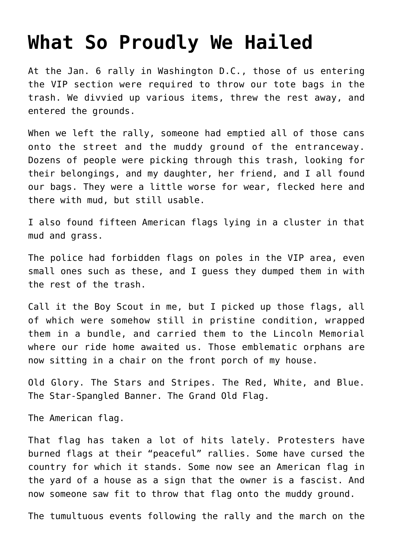## **[What So Proudly We Hailed](https://intellectualtakeout.org/2021/01/what-so-proudly-we-hailed/)**

At the Jan. 6 rally in Washington D.C., those of us entering the VIP section were required to throw our tote bags in the trash. We divvied up various items, threw the rest away, and entered the grounds.

When we left the rally, someone had emptied all of those cans onto the street and the muddy ground of the entranceway. Dozens of people were picking through this trash, looking for their belongings, and my daughter, her friend, and I all found our bags. They were a little worse for wear, flecked here and there with mud, but still usable.

I also found fifteen American flags lying in a cluster in that mud and grass.

The police had forbidden flags on poles in the VIP area, even small ones such as these, and I guess they dumped them in with the rest of the trash.

Call it the Boy Scout in me, but I picked up those flags, all of which were somehow still in pristine condition, wrapped them in a bundle, and carried them to the Lincoln Memorial where our ride home awaited us. Those emblematic orphans are now sitting in a chair on the front porch of my house.

Old Glory. The Stars and Stripes. The Red, White, and Blue. The Star-Spangled Banner. The Grand Old Flag.

The American flag.

That flag has taken a lot of hits lately. Protesters have burned flags at their "peaceful" rallies. Some have cursed the country for which it stands. Some now see an American flag in the yard of a house as a sign that the owner is a fascist. And now someone saw fit to throw that flag onto the muddy ground.

The tumultuous events following the rally and the march on the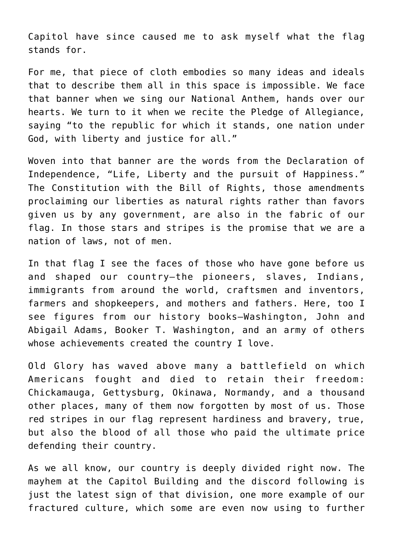Capitol have since caused me to ask myself what the flag stands for.

For me, that piece of cloth embodies so many ideas and ideals that to describe them all in this space is impossible. We face that banner when we sing our National Anthem, hands over our hearts. We turn to it when we recite the Pledge of Allegiance, saying "to the republic for which it stands, one nation under God, with liberty and justice for all."

Woven into that banner are the words from the Declaration of Independence, "Life, Liberty and the pursuit of Happiness." The Constitution with the Bill of Rights, those amendments proclaiming our liberties as natural rights rather than favors given us by any government, are also in the fabric of our flag. In those stars and stripes is the promise that we are a nation of laws, not of men.

In that flag I see the faces of those who have gone before us and shaped our country—the pioneers, slaves, Indians, immigrants from around the world, craftsmen and inventors, farmers and shopkeepers, and mothers and fathers. Here, too I see figures from our history books—Washington, John and Abigail Adams, Booker T. Washington, and an army of others whose achievements created the country I love.

Old Glory has waved above many a battlefield on which Americans fought and died to retain their freedom: Chickamauga, Gettysburg, Okinawa, Normandy, and a thousand other places, many of them now forgotten by most of us. Those red stripes in our flag represent hardiness and bravery, true, but also the blood of all those who paid the ultimate price defending their country.

As we all know, our country is deeply divided right now. The mayhem at the Capitol Building and the discord following is just the latest sign of that division, one more example of our fractured culture, which some are even now using to further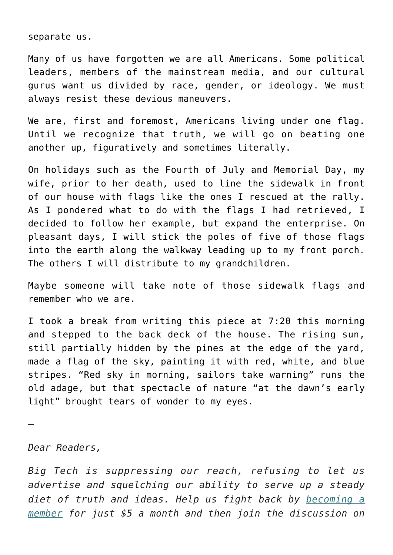separate us.

Many of us have forgotten we are all Americans. Some political leaders, members of the mainstream media, and our cultural gurus want us divided by race, gender, or ideology. We must always resist these devious maneuvers.

We are, first and foremost, Americans living under one flag. Until we recognize that truth, we will go on beating one another up, figuratively and sometimes literally.

On holidays such as the Fourth of July and Memorial Day, my wife, prior to her death, used to line the sidewalk in front of our house with flags like the ones I rescued at the rally. As I pondered what to do with the flags I had retrieved, I decided to follow her example, but expand the enterprise. On pleasant days, I will stick the poles of five of those flags into the earth along the walkway leading up to my front porch. The others I will distribute to my grandchildren.

Maybe someone will take note of those sidewalk flags and remember who we are.

I took a break from writing this piece at 7:20 this morning and stepped to the back deck of the house. The rising sun, still partially hidden by the pines at the edge of the yard, made a flag of the sky, painting it with red, white, and blue stripes. "Red sky in morning, sailors take warning" runs the old adage, but that spectacle of nature "at the dawn's early light" brought tears of wonder to my eyes.

—

## *Dear Readers,*

*Big Tech is suppressing our reach, refusing to let us advertise and squelching our ability to serve up a steady diet of truth and ideas. Help us fight back by [becoming a](https://www.chroniclesmagazine.org/subscribe/) [member](https://www.chroniclesmagazine.org/subscribe/) for just \$5 a month and then join the discussion on*